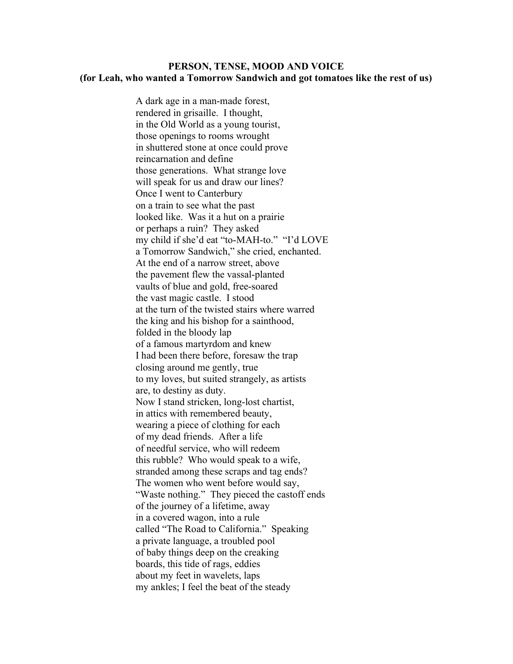## PERSON, TENSE, MOOD AND VOICE (for Leah, who wanted a Tomorrow Sandwich and got tomatoes like the rest of us)

 A dark age in a man-made forest, rendered in grisaille. I thought, in the Old World as a young tourist, those openings to rooms wrought in shuttered stone at once could prove reincarnation and define those generations. What strange love will speak for us and draw our lines? Once I went to Canterbury on a train to see what the past looked like. Was it a hut on a prairie or perhaps a ruin? They asked my child if she'd eat "to-MAH-to." "I'd LOVE a Tomorrow Sandwich," she cried, enchanted. At the end of a narrow street, above the pavement flew the vassal-planted vaults of blue and gold, free-soared the vast magic castle. I stood at the turn of the twisted stairs where warred the king and his bishop for a sainthood, folded in the bloody lap of a famous martyrdom and knew I had been there before, foresaw the trap closing around me gently, true to my loves, but suited strangely, as artists are, to destiny as duty. Now I stand stricken, long-lost chartist, in attics with remembered beauty, wearing a piece of clothing for each of my dead friends. After a life of needful service, who will redeem this rubble? Who would speak to a wife, stranded among these scraps and tag ends? The women who went before would say, "Waste nothing." They pieced the castoff ends of the journey of a lifetime, away in a covered wagon, into a rule called "The Road to California." Speaking a private language, a troubled pool of baby things deep on the creaking boards, this tide of rags, eddies about my feet in wavelets, laps my ankles; I feel the beat of the steady